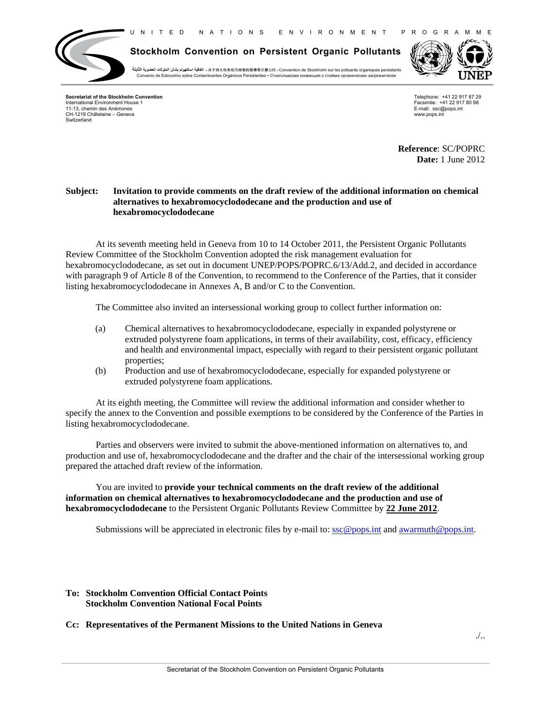U N I T E D N A T I O N S E N V I R O N M E N T P R O G R A M M E



**Stockholm Convention on Persistent Organic Pollutants**

+ بالتفاقية استكهولم بشأن الملوثات العضوية الثابتة \* 于持久性有机污染物的斯德哥尔摩公约 • Convention de Stockholm sur les polluants organiques persistants Convenio de Estocolmo sobre Contaminantes Orgánicos Persistentes ▪ Стокгольмскaя конвенция о стойких органических загрязнителях



**Secretariat of the Stockholm Convention** International Environment House 1 11-13, chemin des Anémones CH-1219 Châtelaine – Geneva Switzerland

Telephone: +41 22 917 87 29 Facsimile: +41 22 917 80 98 E-mail: ssc@pops.int www.pops.int

**Reference**: SC/POPRC **Date:** 1 June 2012

## **Subject: Invitation to provide comments on the draft review of the additional information on chemical alternatives to hexabromocyclododecane and the production and use of hexabromocyclododecane**

At its seventh meeting held in Geneva from 10 to 14 October 2011, the Persistent Organic Pollutants Review Committee of the Stockholm Convention adopted the risk management evaluation for hexabromocyclododecane, as set out in document UNEP/POPS/POPRC.6/13/Add.2, and decided in accordance with paragraph 9 of Article 8 of the Convention, to recommend to the Conference of the Parties, that it consider listing hexabromocyclododecane in Annexes A, B and/or C to the Convention.

The Committee also invited an intersessional working group to collect further information on:

- (a) Chemical alternatives to hexabromocyclododecane, especially in expanded polystyrene or extruded polystyrene foam applications, in terms of their availability, cost, efficacy, efficiency and health and environmental impact, especially with regard to their persistent organic pollutant properties;
- (b) Production and use of hexabromocyclododecane, especially for expanded polystyrene or extruded polystyrene foam applications.

 At its eighth meeting, the Committee will review the additional information and consider whether to specify the annex to the Convention and possible exemptions to be considered by the Conference of the Parties in listing hexabromocyclododecane.

Parties and observers were invited to submit the above-mentioned information on alternatives to, and production and use of, hexabromocyclododecane and the drafter and the chair of the intersessional working group prepared the attached draft review of the information.

You are invited to **provide your technical comments on the draft review of the additional information on chemical alternatives to hexabromocyclododecane and the production and use of hexabromocyclododecane** to the Persistent Organic Pollutants Review Committee by **22 June 2012**.

Submissions will be appreciated in electronic files by e-mail to:  $\sec \omega$  pops.int and awarmuth  $\omega$  pops.int.

## **To: Stockholm Convention Official Contact Points Stockholm Convention National Focal Points**

## **Cc: Representatives of the Permanent Missions to the United Nations in Geneva**